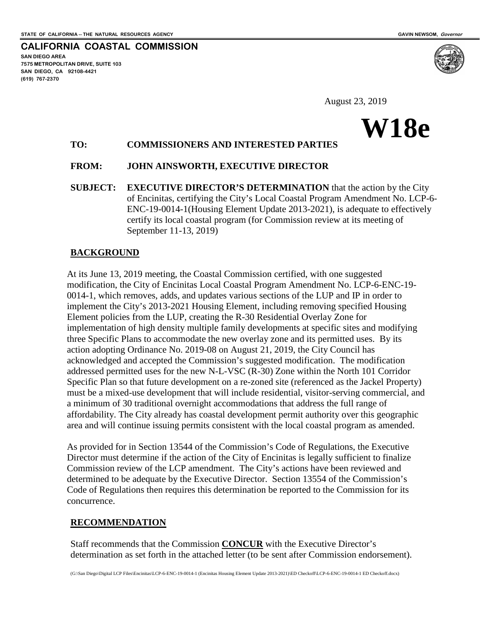

**CALIFORNIA COASTAL COMMISSION SAN DIEGO AREA 7575 METROPOLITAN DRIVE, SUITE 103 SAN DIEGO, CA 92108-4421 (619) 767-2370**

August 23, 2019

# **W18e**

## **TO: COMMISSIONERS AND INTERESTED PARTIES**

#### **FROM: JOHN AINSWORTH, EXECUTIVE DIRECTOR**

**SUBJECT: EXECUTIVE DIRECTOR'S DETERMINATION** that the action by the City of Encinitas, certifying the City's Local Coastal Program Amendment No. LCP-6- ENC-19-0014-1(Housing Element Update 2013-2021), is adequate to effectively certify its local coastal program (for Commission review at its meeting of September 11-13, 2019)

#### **BACKGROUND**

At its June 13, 2019 meeting, the Coastal Commission certified, with one suggested modification, the City of Encinitas Local Coastal Program Amendment No. LCP-6-ENC-19- 0014-1, which removes, adds, and updates various sections of the LUP and IP in order to implement the City's 2013-2021 Housing Element, including removing specified Housing Element policies from the LUP, creating the R-30 Residential Overlay Zone for implementation of high density multiple family developments at specific sites and modifying three Specific Plans to accommodate the new overlay zone and its permitted uses. By its action adopting Ordinance No. 2019-08 on August 21, 2019, the City Council has acknowledged and accepted the Commission's suggested modification. The modification addressed permitted uses for the new N-L-VSC (R-30) Zone within the North 101 Corridor Specific Plan so that future development on a re-zoned site (referenced as the Jackel Property) must be a mixed-use development that will include residential, visitor-serving commercial, and a minimum of 30 traditional overnight accommodations that address the full range of affordability. The City already has coastal development permit authority over this geographic area and will continue issuing permits consistent with the local coastal program as amended.

As provided for in Section 13544 of the Commission's Code of Regulations, the Executive Director must determine if the action of the City of Encinitas is legally sufficient to finalize Commission review of the LCP amendment. The City's actions have been reviewed and determined to be adequate by the Executive Director. Section 13554 of the Commission's Code of Regulations then requires this determination be reported to the Commission for its concurrence.

### **RECOMMENDATION**

Staff recommends that the Commission **CONCUR** with the Executive Director's determination as set forth in the attached letter (to be sent after Commission endorsement).